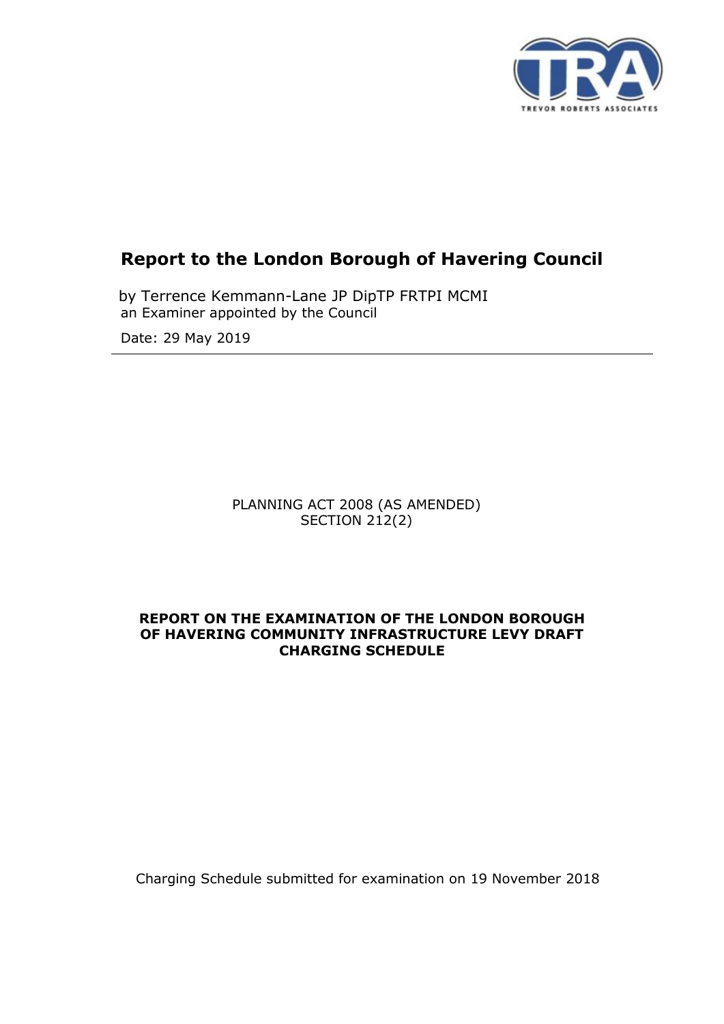

# **Report to the London Borough of Havering Council**

 an Examiner appointed by the Council by Terrence Kemmann-Lane JP DipTP FRTPI MCMI

Date: 29 May 2019

PLANNING ACT 2008 (AS AMENDED) SECTION 212(2)

#### **REPORT ON THE EXAMINATION OF THE LONDON BOROUGH OF HAVERING COMMUNITY INFRASTRUCTURE LEVY DRAFT CHARGING SCHEDULE**

Charging Schedule submitted for examination on 19 November 2018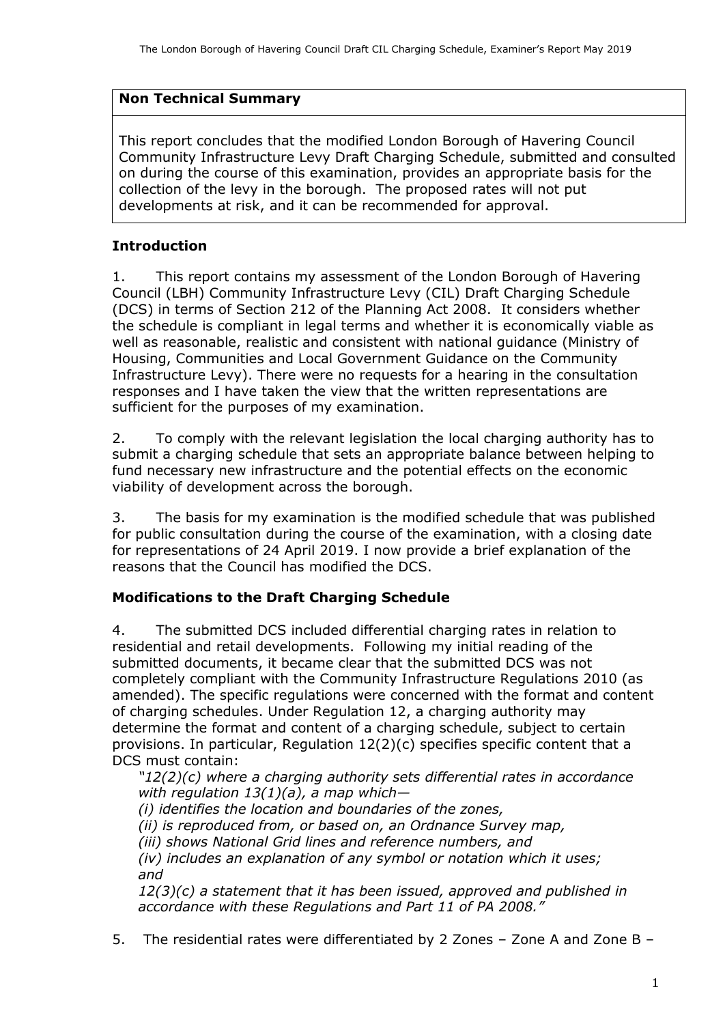## **Non Technical Summary**

 Community Infrastructure Levy Draft Charging Schedule, submitted and consulted collection of the levy in the borough. The proposed rates will not put This report concludes that the modified London Borough of Havering Council on during the course of this examination, provides an appropriate basis for the developments at risk, and it can be recommended for approval.

# **Introduction**

 1. This report contains my assessment of the London Borough of Havering Council (LBH) Community Infrastructure Levy (CIL) Draft Charging Schedule (DCS) in terms of Section 212 of the Planning Act 2008. It considers whether the schedule is compliant in legal terms and whether it is economically viable as well as reasonable, realistic and consistent with national guidance (Ministry of Housing, Communities and Local Government Guidance on the Community Infrastructure Levy). There were no requests for a hearing in the consultation responses and I have taken the view that the written representations are sufficient for the purposes of my examination.

 2. To comply with the relevant legislation the local charging authority has to submit a charging schedule that sets an appropriate balance between helping to fund necessary new infrastructure and the potential effects on the economic viability of development across the borough.

 for public consultation during the course of the examination, with a closing date for representations of 24 April 2019. I now provide a brief explanation of the reasons that the Council has modified the DCS. 3. The basis for my examination is the modified schedule that was published

# **Modifications to the Draft Charging Schedule**

 residential and retail developments. Following my initial reading of the completely compliant with the Community Infrastructure Regulations 2010 (as of charging schedules. Under Regulation 12, a charging authority may determine the format and content of a charging schedule, subject to certain DCS must contain: 4. The submitted DCS included differential charging rates in relation to submitted documents, it became clear that the submitted DCS was not amended). The specific regulations were concerned with the format and content provisions. In particular, Regulation  $12(2)(c)$  specifies specific content that a

 *"12(2)(c) where a charging authority sets differential rates in accordance with regulation 13(1)(a), a map which—*

 *(i) identifies the location and boundaries of the zones,* 

*(ii) is reproduced from, or based on, an Ordnance Survey map,* 

 *(iii) shows National Grid lines and reference numbers, and* 

 *(iv) includes an explanation of any symbol or notation which it uses; and* 

 *12(3)(c) a statement that it has been issued, approved and published in accordance with these Regulations and Part 11 of PA 2008."*

5. The residential rates were differentiated by 2 Zones – Zone A and Zone B –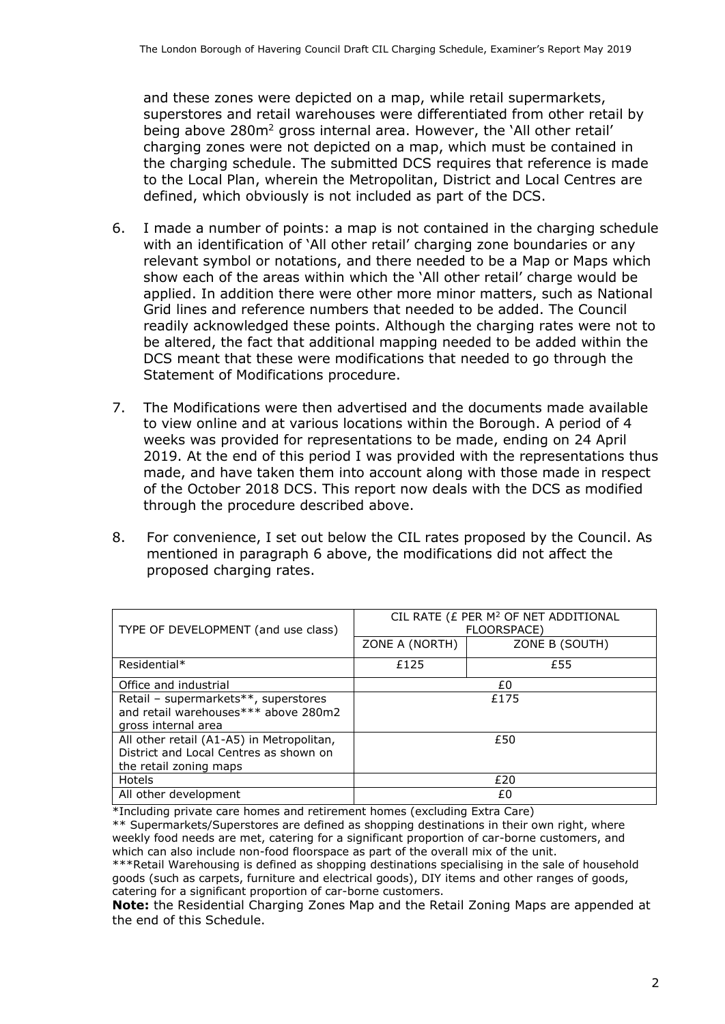and these zones were depicted on a map, while retail supermarkets, superstores and retail warehouses were differentiated from other retail by being above 280m<sup>2</sup> gross internal area. However, the 'All other retail' charging zones were not depicted on a map, which must be contained in the charging schedule. The submitted DCS requires that reference is made to the Local Plan, wherein the Metropolitan, District and Local Centres are defined, which obviously is not included as part of the DCS.

- 6. I made a number of points: a map is not contained in the charging schedule with an identification of 'All other retail' charging zone boundaries or any relevant symbol or notations, and there needed to be a Map or Maps which applied. In addition there were other more minor matters, such as National Grid lines and reference numbers that needed to be added. The Council readily acknowledged these points. Although the charging rates were not to be altered, the fact that additional mapping needed to be added within the show each of the areas within which the 'All other retail' charge would be DCS meant that these were modifications that needed to go through the Statement of Modifications procedure.
- to view online and at various locations within the Borough. A period of 4 weeks was provided for representations to be made, ending on 24 April made, and have taken them into account along with those made in respect of the October 2018 DCS. This report now deals with the DCS as modified 7. The Modifications were then advertised and the documents made available 2019. At the end of this period I was provided with the representations thus through the procedure described above.
- 8. For convenience, I set out below the CIL rates proposed by the Council. As mentioned in paragraph 6 above, the modifications did not affect the proposed charging rates.

| TYPE OF DEVELOPMENT (and use class)                                                                           | CIL RATE (£ PER M <sup>2</sup> OF NET ADDITIONAL<br>FLOORSPACE) |                |
|---------------------------------------------------------------------------------------------------------------|-----------------------------------------------------------------|----------------|
|                                                                                                               | ZONE A (NORTH)                                                  | ZONE B (SOUTH) |
| Residential*                                                                                                  | £125                                                            | £55            |
| Office and industrial                                                                                         | £0                                                              |                |
| Retail - supermarkets**, superstores<br>and retail warehouses*** above 280m2<br>gross internal area           | £175                                                            |                |
| All other retail (A1-A5) in Metropolitan,<br>District and Local Centres as shown on<br>the retail zoning maps | £50                                                             |                |
| Hotels                                                                                                        | £20                                                             |                |
| All other development                                                                                         | £0                                                              |                |

\*Including private care homes and retirement homes (excluding Extra Care)

 \*\* Supermarkets/Superstores are defined as shopping destinations in their own right, where weekly food needs are met, catering for a significant proportion of car-borne customers, and which can also include non-food floorspace as part of the overall mix of the unit.

 \*\*\*Retail Warehousing is defined as shopping destinations specialising in the sale of household goods (such as carpets, furniture and electrical goods), DIY items and other ranges of goods, catering for a significant proportion of car-borne customers.

**Note:** the Residential Charging Zones Map and the Retail Zoning Maps are appended at the end of this Schedule.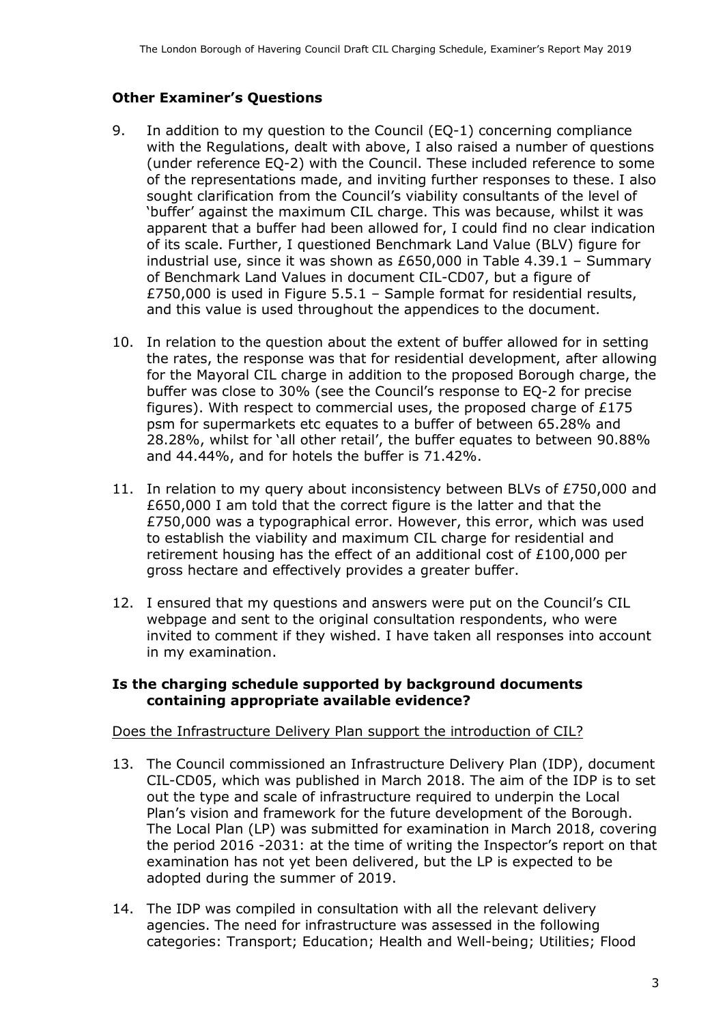### **Other Examiner's Questions**

- with the Regulations, dealt with above, I also raised a number of questions of the representations made, and inviting further responses to these. I also sought clarification from the Council's viability consultants of the level of apparent that a buffer had been allowed for, I could find no clear indication of its scale. Further, I questioned Benchmark Land Value (BLV) figure for industrial use, since it was shown as £650,000 in Table 4.39.1 – Summary of Benchmark Land Values in document CIL-CD07, but a figure of £750,000 is used in Figure 5.5.1 – Sample format for residential results, 9. In addition to my question to the Council (EQ-1) concerning compliance (under reference EQ-2) with the Council. These included reference to some 'buffer' against the maximum CIL charge. This was because, whilst it was and this value is used throughout the appendices to the document.
- 10. In relation to the question about the extent of buffer allowed for in setting the rates, the response was that for residential development, after allowing figures). With respect to commercial uses, the proposed charge of £175 and 44.44%, and for hotels the buffer is 71.42%. for the Mayoral CIL charge in addition to the proposed Borough charge, the buffer was close to 30% (see the Council's response to EQ-2 for precise psm for supermarkets etc equates to a buffer of between 65.28% and 28.28%, whilst for 'all other retail', the buffer equates to between 90.88%
- 11. In relation to my query about inconsistency between BLVs of £750,000 and £650,000 I am told that the correct figure is the latter and that the £750,000 was a typographical error. However, this error, which was used to establish the viability and maximum CIL charge for residential and retirement housing has the effect of an additional cost of £100,000 per gross hectare and effectively provides a greater buffer.
- 12. I ensured that my questions and answers were put on the Council's CIL invited to comment if they wished. I have taken all responses into account in my examination. webpage and sent to the original consultation respondents, who were

#### **Is the charging schedule supported by background documents containing appropriate available evidence?**

#### Does the Infrastructure Delivery Plan support the introduction of CIL?

- 13. The Council commissioned an Infrastructure Delivery Plan (IDP), document CIL-CD05, which was published in March 2018. The aim of the IDP is to set out the type and scale of infrastructure required to underpin the Local The Local Plan (LP) was submitted for examination in March 2018, covering examination has not yet been delivered, but the LP is expected to be Plan's vision and framework for the future development of the Borough. the period 2016 -2031: at the time of writing the Inspector's report on that adopted during the summer of 2019.
- 14. The IDP was compiled in consultation with all the relevant delivery categories: Transport; Education; Health and Well-being; Utilities; Flood agencies. The need for infrastructure was assessed in the following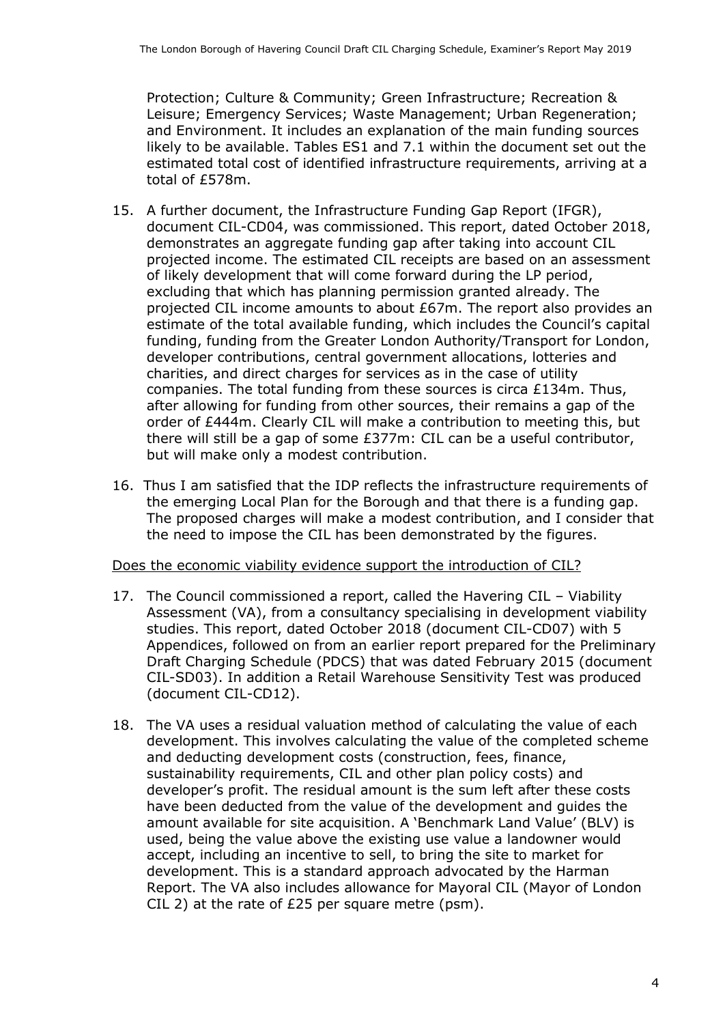and Environment. It includes an explanation of the main funding sources likely to be available. Tables ES1 and 7.1 within the document set out the estimated total cost of identified infrastructure requirements, arriving at a Protection; Culture & Community; Green Infrastructure; Recreation & Leisure; Emergency Services; Waste Management; Urban Regeneration; total of £578m.

- 15. A further document, the Infrastructure Funding Gap Report (IFGR), document CIL-CD04, was commissioned. This report, dated October 2018, demonstrates an aggregate funding gap after taking into account CIL of likely development that will come forward during the LP period, projected CIL income amounts to about £67m. The report also provides an funding, funding from the Greater London Authority/Transport for London, developer contributions, central government allocations, lotteries and charities, and direct charges for services as in the case of utility companies. The total funding from these sources is circa £134m. Thus, after allowing for funding from other sources, their remains a gap of the order of £444m. Clearly CIL will make a contribution to meeting this, but there will still be a gap of some £377m: CIL can be a useful contributor, but will make only a modest contribution. projected income. The estimated CIL receipts are based on an assessment excluding that which has planning permission granted already. The estimate of the total available funding, which includes the Council's capital
- 16. Thus I am satisfied that the IDP reflects the infrastructure requirements of the emerging Local Plan for the Borough and that there is a funding gap. The proposed charges will make a modest contribution, and I consider that the need to impose the CIL has been demonstrated by the figures.

Does the economic viability evidence support the introduction of CIL?

- 17. The Council commissioned a report, called the Havering CIL Viability Assessment (VA), from a consultancy specialising in development viability studies. This report, dated October 2018 (document CIL-CD07) with 5 Draft Charging Schedule (PDCS) that was dated February 2015 (document Appendices, followed on from an earlier report prepared for the Preliminary CIL-SD03). In addition a Retail Warehouse Sensitivity Test was produced (document CIL-CD12).
- 18. The VA uses a residual valuation method of calculating the value of each and deducting development costs (construction, fees, finance, sustainability requirements, CIL and other plan policy costs) and developer's profit. The residual amount is the sum left after these costs have been deducted from the value of the development and guides the amount available for site acquisition. A 'Benchmark Land Value' (BLV) is used, being the value above the existing use value a landowner would accept, including an incentive to sell, to bring the site to market for development. This is a standard approach advocated by the Harman development. This involves calculating the value of the completed scheme Report. The VA also includes allowance for Mayoral CIL (Mayor of London CIL 2) at the rate of £25 per square metre (psm).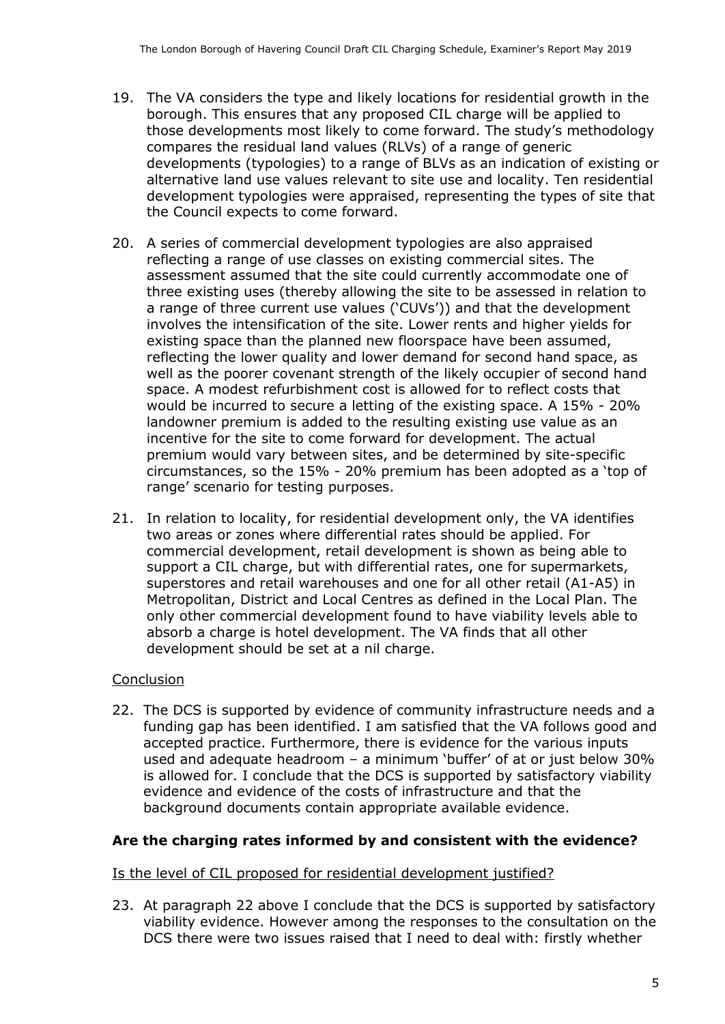- 19. The VA considers the type and likely locations for residential growth in the borough. This ensures that any proposed CIL charge will be applied to compares the residual land values (RLVs) of a range of generic developments (typologies) to a range of BLVs as an indication of existing or those developments most likely to come forward. The study's methodology alternative land use values relevant to site use and locality. Ten residential development typologies were appraised, representing the types of site that the Council expects to come forward.
- reflecting a range of use classes on existing commercial sites. The assessment assumed that the site could currently accommodate one of three existing uses (thereby allowing the site to be assessed in relation to a range of three current use values ('CUVs')) and that the development involves the intensification of the site. Lower rents and higher yields for reflecting the lower quality and lower demand for second hand space, as well as the poorer covenant strength of the likely occupier of second hand would be incurred to secure a letting of the existing space. A 15% - 20% landowner premium is added to the resulting existing use value as an premium would vary between sites, and be determined by site-specific 20. A series of commercial development typologies are also appraised existing space than the planned new floorspace have been assumed, space. A modest refurbishment cost is allowed for to reflect costs that incentive for the site to come forward for development. The actual circumstances, so the 15% - 20% premium has been adopted as a 'top of range' scenario for testing purposes.
- 21. In relation to locality, for residential development only, the VA identifies two areas or zones where differential rates should be applied. For commercial development, retail development is shown as being able to support a CIL charge, but with differential rates, one for supermarkets, Metropolitan, District and Local Centres as defined in the Local Plan. The only other commercial development found to have viability levels able to absorb a charge is hotel development. The VA finds that all other development should be set at a nil charge. superstores and retail warehouses and one for all other retail (A1-A5) in

## **Conclusion**

 22. The DCS is supported by evidence of community infrastructure needs and a funding gap has been identified. I am satisfied that the VA follows good and used and adequate headroom – a minimum 'buffer' of at or just below 30% is allowed for. I conclude that the DCS is supported by satisfactory viability evidence and evidence of the costs of infrastructure and that the accepted practice. Furthermore, there is evidence for the various inputs background documents contain appropriate available evidence.

#### **Are the charging rates informed by and consistent with the evidence?**

#### Is the level of CIL proposed for residential development justified?

 23. At paragraph 22 above I conclude that the DCS is supported by satisfactory viability evidence. However among the responses to the consultation on the DCS there were two issues raised that I need to deal with: firstly whether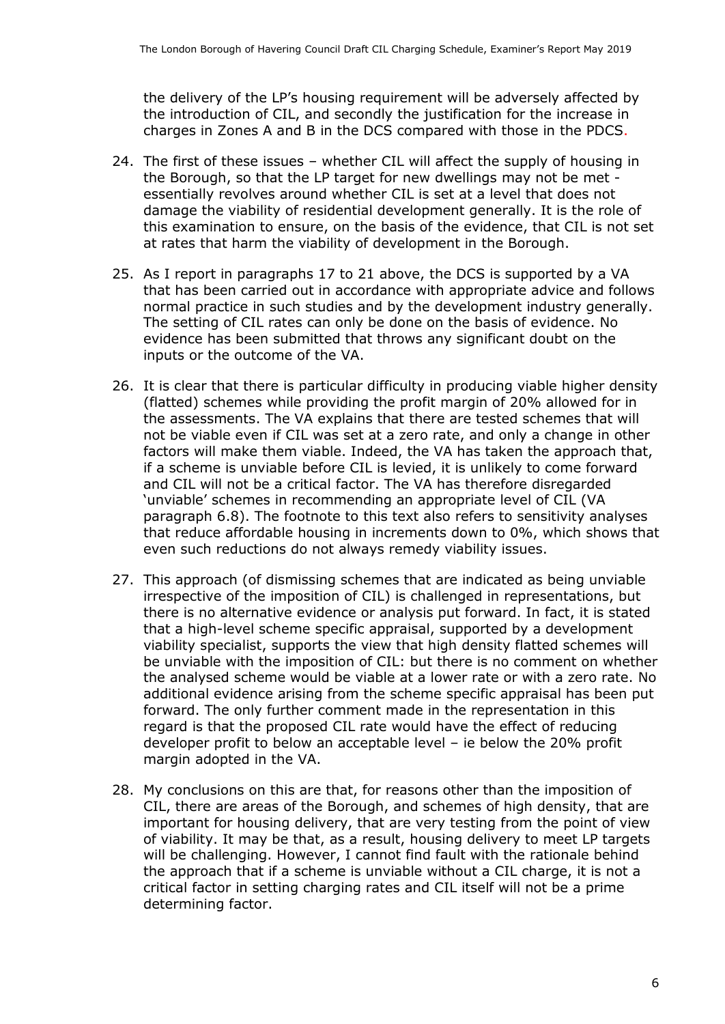the delivery of the LP's housing requirement will be adversely affected by the introduction of CIL, and secondly the justification for the increase in charges in Zones A and B in the DCS compared with those in the PDCS.

- 24. The first of these issues whether CIL will affect the supply of housing in the Borough, so that the LP target for new dwellings may not be met - essentially revolves around whether CIL is set at a level that does not damage the viability of residential development generally. It is the role of at rates that harm the viability of development in the Borough. this examination to ensure, on the basis of the evidence, that CIL is not set
- 25. As I report in paragraphs 17 to 21 above, the DCS is supported by a VA normal practice in such studies and by the development industry generally. The setting of CIL rates can only be done on the basis of evidence. No that has been carried out in accordance with appropriate advice and follows evidence has been submitted that throws any significant doubt on the inputs or the outcome of the VA.
- 26. It is clear that there is particular difficulty in producing viable higher density (flatted) schemes while providing the profit margin of 20% allowed for in the assessments. The VA explains that there are tested schemes that will not be viable even if CIL was set at a zero rate, and only a change in other factors will make them viable. Indeed, the VA has taken the approach that, if a scheme is unviable before CIL is levied, it is unlikely to come forward and CIL will not be a critical factor. The VA has therefore disregarded paragraph 6.8). The footnote to this text also refers to sensitivity analyses that reduce affordable housing in increments down to 0%, which shows that even such reductions do not always remedy viability issues. 'unviable' schemes in recommending an appropriate level of CIL (VA
- 27. This approach (of dismissing schemes that are indicated as being unviable irrespective of the imposition of CIL) is challenged in representations, but there is no alternative evidence or analysis put forward. In fact, it is stated that a high-level scheme specific appraisal, supported by a development viability specialist, supports the view that high density flatted schemes will the analysed scheme would be viable at a lower rate or with a zero rate. No additional evidence arising from the scheme specific appraisal has been put forward. The only further comment made in the representation in this developer profit to below an acceptable level – ie below the 20% profit be unviable with the imposition of CIL: but there is no comment on whether regard is that the proposed CIL rate would have the effect of reducing margin adopted in the VA.
- CIL, there are areas of the Borough, and schemes of high density, that are important for housing delivery, that are very testing from the point of view of viability. It may be that, as a result, housing delivery to meet LP targets will be challenging. However, I cannot find fault with the rationale behind the approach that if a scheme is unviable without a CIL charge, it is not a critical factor in setting charging rates and CIL itself will not be a prime determining factor. 28. My conclusions on this are that, for reasons other than the imposition of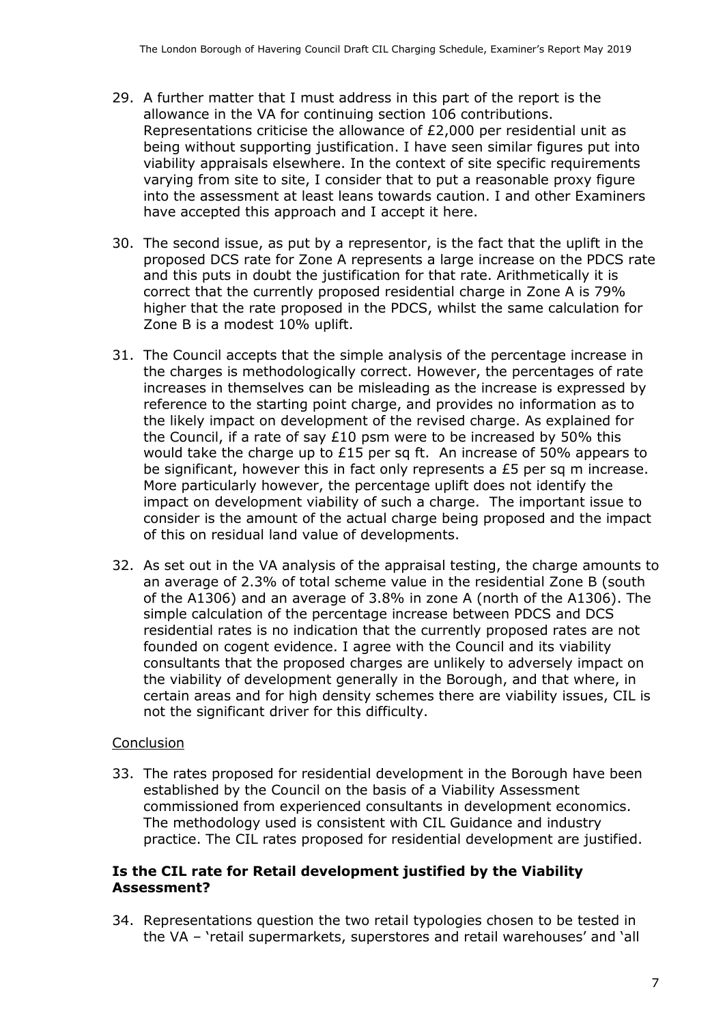- 29. A further matter that I must address in this part of the report is the Representations criticise the allowance of £2,000 per residential unit as being without supporting justification. I have seen similar figures put into varying from site to site, I consider that to put a reasonable proxy figure into the assessment at least leans towards caution. I and other Examiners have accepted this approach and I accept it here. allowance in the VA for continuing section 106 contributions. viability appraisals elsewhere. In the context of site specific requirements
- 30. The second issue, as put by a representor, is the fact that the uplift in the proposed DCS rate for Zone A represents a large increase on the PDCS rate Zone B is a modest 10% uplift. and this puts in doubt the justification for that rate. Arithmetically it is correct that the currently proposed residential charge in Zone A is 79% higher that the rate proposed in the PDCS, whilst the same calculation for
- the charges is methodologically correct. However, the percentages of rate reference to the starting point charge, and provides no information as to the likely impact on development of the revised charge. As explained for the Council, if a rate of say £10 psm were to be increased by 50% this would take the charge up to £15 per sq ft. An increase of 50% appears to be significant, however this in fact only represents a £5 per sq m increase. More particularly however, the percentage uplift does not identify the impact on development viability of such a charge. The important issue to of this on residual land value of developments. 31. The Council accepts that the simple analysis of the percentage increase in increases in themselves can be misleading as the increase is expressed by consider is the amount of the actual charge being proposed and the impact
- 32. As set out in the VA analysis of the appraisal testing, the charge amounts to an average of 2.3% of total scheme value in the residential Zone B (south founded on cogent evidence. I agree with the Council and its viability the viability of development generally in the Borough, and that where, in certain areas and for high density schemes there are viability issues, CIL is of the A1306) and an average of 3.8% in zone A (north of the A1306). The simple calculation of the percentage increase between PDCS and DCS residential rates is no indication that the currently proposed rates are not consultants that the proposed charges are unlikely to adversely impact on not the significant driver for this difficulty.

#### **Conclusion**

 33. The rates proposed for residential development in the Borough have been established by the Council on the basis of a Viability Assessment The methodology used is consistent with CIL Guidance and industry commissioned from experienced consultants in development economics. practice. The CIL rates proposed for residential development are justified.

#### **Is the CIL rate for Retail development justified by the Viability Assessment?**

 the VA – 'retail supermarkets, superstores and retail warehouses' and 'all 34. Representations question the two retail typologies chosen to be tested in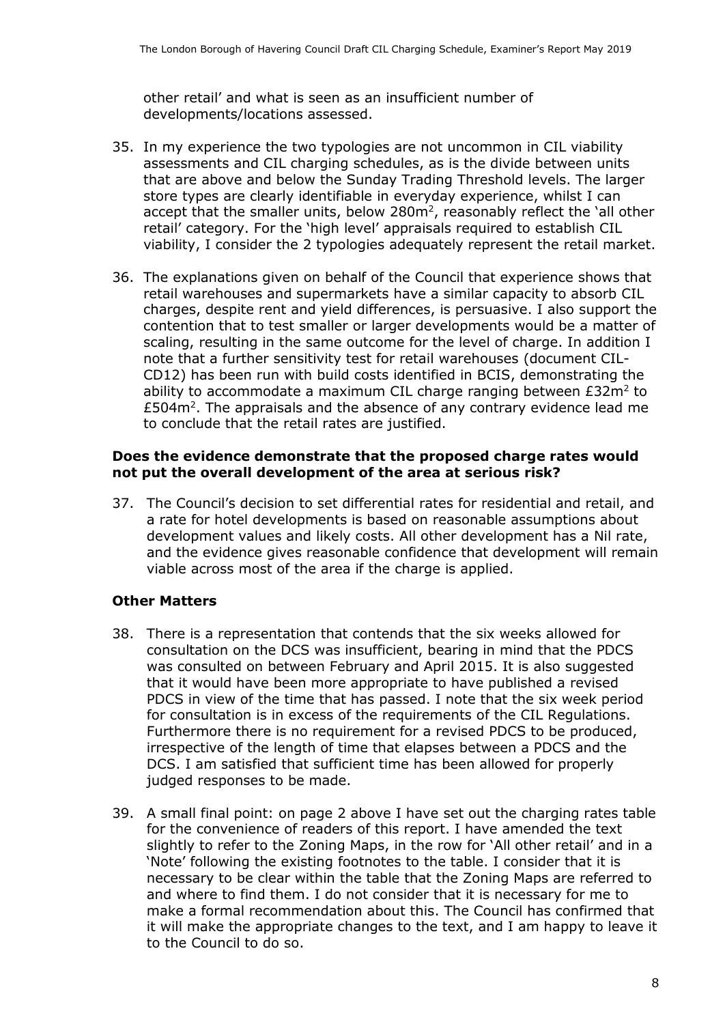other retail' and what is seen as an insufficient number of developments/locations assessed.

- assessments and CIL charging schedules, as is the divide between units that are above and below the Sunday Trading Threshold levels. The larger store types are clearly identifiable in everyday experience, whilst I can viability, I consider the 2 typologies adequately represent the retail market. 35. In my experience the two typologies are not uncommon in CIL viability accept that the smaller units, below  $280m^2$ , reasonably reflect the 'all other retail' category. For the 'high level' appraisals required to establish CIL
- retail warehouses and supermarkets have a similar capacity to absorb CIL charges, despite rent and yield differences, is persuasive. I also support the contention that to test smaller or larger developments would be a matter of scaling, resulting in the same outcome for the level of charge. In addition I CD12) has been run with build costs identified in BCIS, demonstrating the ability to accommodate a maximum CIL charge ranging between  $E32m^2$  to  $£504m<sup>2</sup>$ . The appraisals and the absence of any contrary evidence lead me 36. The explanations given on behalf of the Council that experience shows that note that a further sensitivity test for retail warehouses (document CILto conclude that the retail rates are justified.

#### **Does the evidence demonstrate that the proposed charge rates would not put the overall development of the area at serious risk?**

 37. The Council's decision to set differential rates for residential and retail, and development values and likely costs. All other development has a Nil rate, a rate for hotel developments is based on reasonable assumptions about and the evidence gives reasonable confidence that development will remain viable across most of the area if the charge is applied.

#### **Other Matters**

- 38. There is a representation that contends that the six weeks allowed for consultation on the DCS was insufficient, bearing in mind that the PDCS was consulted on between February and April 2015. It is also suggested that it would have been more appropriate to have published a revised PDCS in view of the time that has passed. I note that the six week period Furthermore there is no requirement for a revised PDCS to be produced, irrespective of the length of time that elapses between a PDCS and the DCS. I am satisfied that sufficient time has been allowed for properly for consultation is in excess of the requirements of the CIL Regulations. judged responses to be made.
- 39. A small final point: on page 2 above I have set out the charging rates table slightly to refer to the Zoning Maps, in the row for 'All other retail' and in a necessary to be clear within the table that the Zoning Maps are referred to and where to find them. I do not consider that it is necessary for me to make a formal recommendation about this. The Council has confirmed that it will make the appropriate changes to the text, and I am happy to leave it for the convenience of readers of this report. I have amended the text 'Note' following the existing footnotes to the table. I consider that it is to the Council to do so.